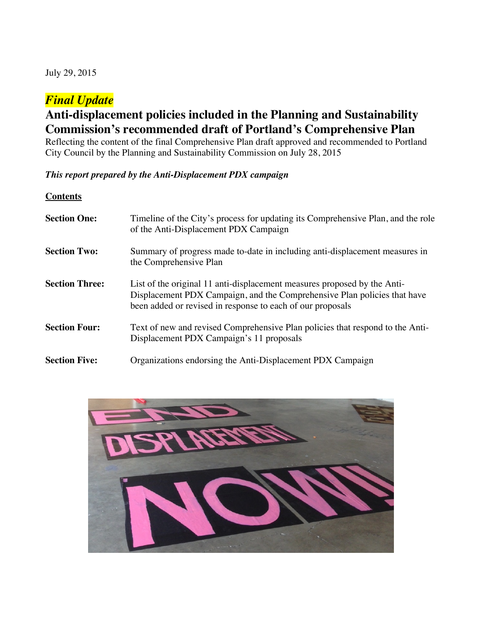July 29, 2015

# *Final Update*

# **Anti-displacement policies included in the Planning and Sustainability Commission's recommended draft of Portland's Comprehensive Plan**

Reflecting the content of the final Comprehensive Plan draft approved and recommended to Portland City Council by the Planning and Sustainability Commission on July 28, 2015

*This report prepared by the Anti-Displacement PDX campaign*

**Contents Section One:** Timeline of the City's process for updating its Comprehensive Plan, and the role of the Anti-Displacement PDX Campaign **Section Two:** Summary of progress made to-date in including anti-displacement measures in the Comprehensive Plan **Section Three:** List of the original 11 anti-displacement measures proposed by the Anti-Displacement PDX Campaign, and the Comprehensive Plan policies that have been added or revised in response to each of our proposals **Section Four:** Text of new and revised Comprehensive Plan policies that respond to the Anti-Displacement PDX Campaign's 11 proposals **Section Five:** Organizations endorsing the Anti-Displacement PDX Campaign

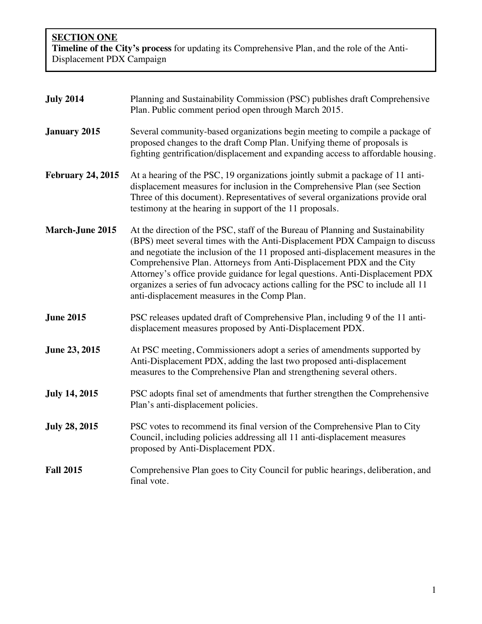**SECTION ONE Timeline of the City's process** for updating its Comprehensive Plan, and the role of the Anti-Displacement PDX Campaign

| <b>July 2014</b>         | Planning and Sustainability Commission (PSC) publishes draft Comprehensive<br>Plan. Public comment period open through March 2015.                                                                                                                                                                                                                                                                                                                                                                                                               |
|--------------------------|--------------------------------------------------------------------------------------------------------------------------------------------------------------------------------------------------------------------------------------------------------------------------------------------------------------------------------------------------------------------------------------------------------------------------------------------------------------------------------------------------------------------------------------------------|
| <b>January 2015</b>      | Several community-based organizations begin meeting to compile a package of<br>proposed changes to the draft Comp Plan. Unifying theme of proposals is<br>fighting gentrification/displacement and expanding access to affordable housing.                                                                                                                                                                                                                                                                                                       |
| <b>February 24, 2015</b> | At a hearing of the PSC, 19 organizations jointly submit a package of 11 anti-<br>displacement measures for inclusion in the Comprehensive Plan (see Section<br>Three of this document). Representatives of several organizations provide oral<br>testimony at the hearing in support of the 11 proposals.                                                                                                                                                                                                                                       |
| <b>March-June 2015</b>   | At the direction of the PSC, staff of the Bureau of Planning and Sustainability<br>(BPS) meet several times with the Anti-Displacement PDX Campaign to discuss<br>and negotiate the inclusion of the 11 proposed anti-displacement measures in the<br>Comprehensive Plan. Attorneys from Anti-Displacement PDX and the City<br>Attorney's office provide guidance for legal questions. Anti-Displacement PDX<br>organizes a series of fun advocacy actions calling for the PSC to include all 11<br>anti-displacement measures in the Comp Plan. |
| <b>June 2015</b>         | PSC releases updated draft of Comprehensive Plan, including 9 of the 11 anti-<br>displacement measures proposed by Anti-Displacement PDX.                                                                                                                                                                                                                                                                                                                                                                                                        |
| June 23, 2015            | At PSC meeting, Commissioners adopt a series of amendments supported by<br>Anti-Displacement PDX, adding the last two proposed anti-displacement<br>measures to the Comprehensive Plan and strengthening several others.                                                                                                                                                                                                                                                                                                                         |
| <b>July 14, 2015</b>     | PSC adopts final set of amendments that further strengthen the Comprehensive<br>Plan's anti-displacement policies.                                                                                                                                                                                                                                                                                                                                                                                                                               |
| <b>July 28, 2015</b>     | PSC votes to recommend its final version of the Comprehensive Plan to City<br>Council, including policies addressing all 11 anti-displacement measures<br>proposed by Anti-Displacement PDX.                                                                                                                                                                                                                                                                                                                                                     |
| <b>Fall 2015</b>         | Comprehensive Plan goes to City Council for public hearings, deliberation, and<br>final vote.                                                                                                                                                                                                                                                                                                                                                                                                                                                    |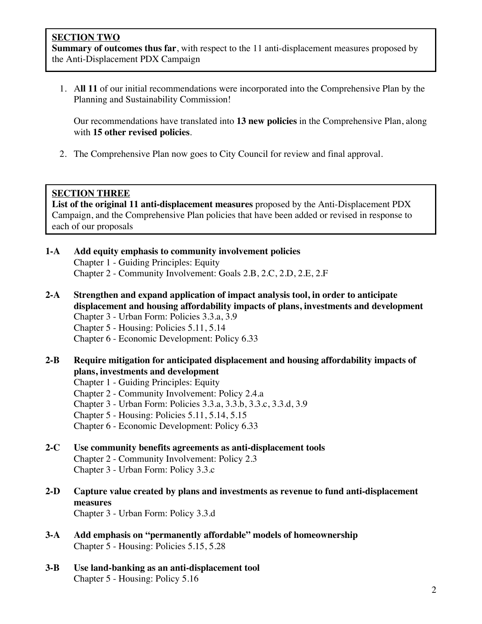**Summary of outcomes thus far**, with respect to the 11 anti-displacement measures proposed by the Anti-Displacement PDX Campaign

1. A**ll 11** of our initial recommendations were incorporated into the Comprehensive Plan by the Planning and Sustainability Commission!

Our recommendations have translated into **13 new policies** in the Comprehensive Plan, along with **15 other revised policies**.

2. The Comprehensive Plan now goes to City Council for review and final approval.

# **SECTION THREE**

**List of the original 11 anti-displacement measures** proposed by the Anti-Displacement PDX Campaign, and the Comprehensive Plan policies that have been added or revised in response to each of our proposals

- **1-A Add equity emphasis to community involvement policies** Chapter 1 - Guiding Principles: Equity Chapter 2 - Community Involvement: Goals 2.B, 2.C, 2.D, 2.E, 2.F
- **2-A Strengthen and expand application of impact analysis tool, in order to anticipate displacement and housing affordability impacts of plans, investments and development**
	- Chapter 3 Urban Form: Policies 3.3.a, 3.9
	- Chapter 5 Housing: Policies 5.11, 5.14
	- Chapter 6 Economic Development: Policy 6.33
- **2-B Require mitigation for anticipated displacement and housing affordability impacts of plans, investments and development**
	- Chapter 1 Guiding Principles: Equity
	- Chapter 2 Community Involvement: Policy 2.4.a
	- Chapter 3 Urban Form: Policies 3.3.a, 3.3.b, 3.3.c, 3.3.d, 3.9
	- Chapter 5 Housing: Policies 5.11, 5.14, 5.15
	- Chapter 6 Economic Development: Policy 6.33

#### **2-C Use community benefits agreements as anti-displacement tools**

Chapter 2 - Community Involvement: Policy 2.3 Chapter 3 - Urban Form: Policy 3.3.c

**2-D Capture value created by plans and investments as revenue to fund anti-displacement measures**

Chapter 3 - Urban Form: Policy 3.3.d

- **3-A Add emphasis on "permanently affordable" models of homeownership** Chapter 5 - Housing: Policies 5.15, 5.28
- **3-B Use land-banking as an anti-displacement tool** Chapter 5 - Housing: Policy 5.16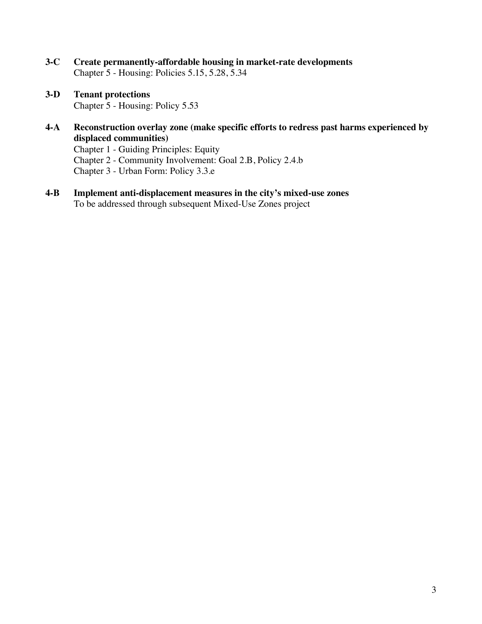- **3-C Create permanently-affordable housing in market-rate developments** Chapter 5 - Housing: Policies 5.15, 5.28, 5.34
- **3-D Tenant protections** Chapter 5 - Housing: Policy 5.53
- **4-A Reconstruction overlay zone (make specific efforts to redress past harms experienced by displaced communities)**

Chapter 1 - Guiding Principles: Equity Chapter 2 - Community Involvement: Goal 2.B, Policy 2.4.b Chapter 3 - Urban Form: Policy 3.3.e

**4-B Implement anti-displacement measures in the city's mixed-use zones** To be addressed through subsequent Mixed-Use Zones project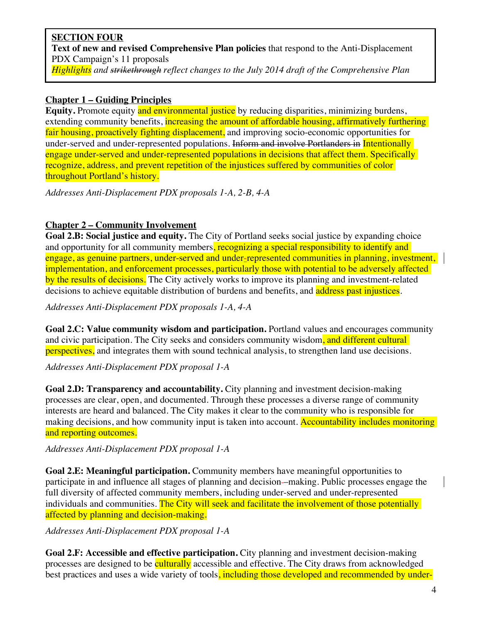# **SECTION FOUR Text of new and revised Comprehensive Plan policies** that respond to the Anti-Displacement PDX Campaign's 11 proposals

*Highlights and strikethrough reflect changes to the July 2014 draft of the Comprehensive Plan*

# **Chapter 1 – Guiding Principles**

**Equity.** Promote equity and environmental justice by reducing disparities, minimizing burdens, extending community benefits, increasing the amount of affordable housing, affirmatively furthering fair housing, proactively fighting displacement, and improving socio-economic opportunities for under-served and under-represented populations. Inform and involve Portlanders in Intentionally engage under-served and under-represented populations in decisions that affect them. Specifically recognize, address, and prevent repetition of the injustices suffered by communities of color throughout Portland's history.

*Addresses Anti-Displacement PDX proposals 1-A, 2-B, 4-A*

# **Chapter 2 – Community Involvement**

**Goal 2.B: Social justice and equity.** The City of Portland seeks social justice by expanding choice and opportunity for all community members, recognizing a special responsibility to identify and engage, as genuine partners, under-served and under-represented communities in planning, investment, implementation, and enforcement processes, particularly those with potential to be adversely affected by the results of decisions. The City actively works to improve its planning and investment-related decisions to achieve equitable distribution of burdens and benefits, and address past injustices.

*Addresses Anti-Displacement PDX proposals 1-A, 4-A*

**Goal 2.C: Value community wisdom and participation.** Portland values and encourages community and civic participation. The City seeks and considers community wisdom, and different cultural perspectives, and integrates them with sound technical analysis, to strengthen land use decisions.

*Addresses Anti-Displacement PDX proposal 1-A*

**Goal 2.D: Transparency and accountability.** City planning and investment decision-making processes are clear, open, and documented. Through these processes a diverse range of community interests are heard and balanced. The City makes it clear to the community who is responsible for making decisions, and how community input is taken into account. Accountability includes monitoring and reporting outcomes.

*Addresses Anti-Displacement PDX proposal 1-A*

**Goal 2.E: Meaningful participation.** Community members have meaningful opportunities to participate in and influence all stages of planning and decision –making. Public processes engage the full diversity of affected community members, including under-served and under-represented individuals and communities. The City will seek and facilitate the involvement of those potentially affected by planning and decision-making.

*Addresses Anti-Displacement PDX proposal 1-A*

**Goal 2.F: Accessible and effective participation.** City planning and investment decision-making processes are designed to be culturally accessible and effective. The City draws from acknowledged best practices and uses a wide variety of tools, including those developed and recommended by under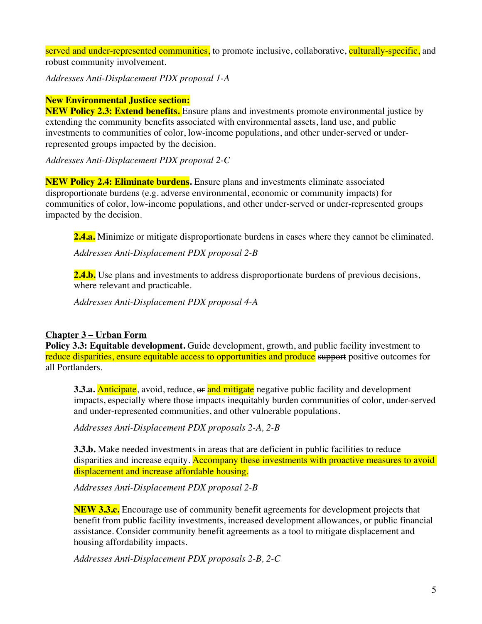served and under-represented communities, to promote inclusive, collaborative, culturally-specific, and robust community involvement.

*Addresses Anti-Displacement PDX proposal 1-A*

#### **New Environmental Justice section:**

**NEW Policy 2.3: Extend benefits.** Ensure plans and investments promote environmental justice by extending the community benefits associated with environmental assets, land use, and public investments to communities of color, low-income populations, and other under-served or underrepresented groups impacted by the decision.

*Addresses Anti-Displacement PDX proposal 2-C*

**NEW Policy 2.4: Eliminate burdens.** Ensure plans and investments eliminate associated disproportionate burdens (e.g. adverse environmental, economic or community impacts) for communities of color, low-income populations, and other under-served or under-represented groups impacted by the decision.

**2.4.a.** Minimize or mitigate disproportionate burdens in cases where they cannot be eliminated.

*Addresses Anti-Displacement PDX proposal 2-B*

**2.4.b.** Use plans and investments to address disproportionate burdens of previous decisions, where relevant and practicable.

*Addresses Anti-Displacement PDX proposal 4-A*

## **Chapter 3 – Urban Form**

**Policy 3.3: Equitable development.** Guide development, growth, and public facility investment to reduce disparities, ensure equitable access to opportunities and produce support positive outcomes for all Portlanders.

**3.3.a. Anticipate**, avoid, reduce, or and mitigate negative public facility and development impacts, especially where those impacts inequitably burden communities of color, under-served and under-represented communities, and other vulnerable populations.

*Addresses Anti-Displacement PDX proposals 2-A, 2-B*

**3.3.b.** Make needed investments in areas that are deficient in public facilities to reduce disparities and increase equity. Accompany these investments with proactive measures to avoid displacement and increase affordable housing.

*Addresses Anti-Displacement PDX proposal 2-B*

**NEW 3.3.c.** Encourage use of community benefit agreements for development projects that benefit from public facility investments, increased development allowances, or public financial assistance. Consider community benefit agreements as a tool to mitigate displacement and housing affordability impacts.

*Addresses Anti-Displacement PDX proposals 2-B, 2-C*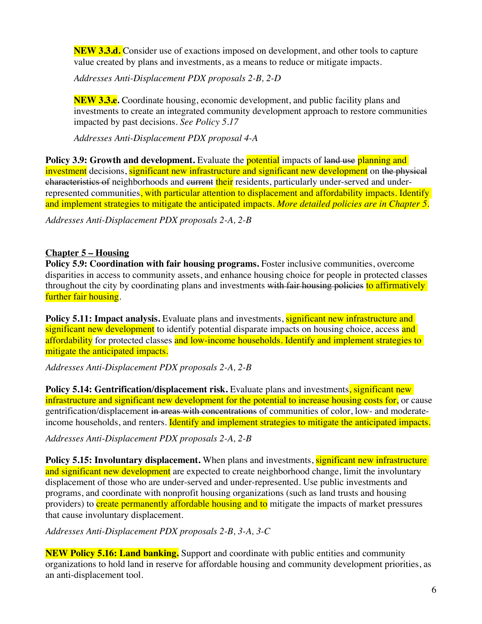**NEW 3.3.d.** Consider use of exactions imposed on development, and other tools to capture value created by plans and investments, as a means to reduce or mitigate impacts.

*Addresses Anti-Displacement PDX proposals 2-B, 2-D*

**NEW 3.3.e.** Coordinate housing, economic development, and public facility plans and investments to create an integrated community development approach to restore communities impacted by past decisions. *See Policy 5.17*

*Addresses Anti-Displacement PDX proposal 4-A*

**Policy 3.9: Growth and development.** Evaluate the **potential** impacts of land use planning and investment decisions, significant new infrastructure and significant new development on the physical characteristics of neighborhoods and current their residents, particularly under-served and underrepresented communities, with particular attention to displacement and affordability impacts. Identify and implement strategies to mitigate the anticipated impacts. *More detailed policies are in Chapter 5.*

*Addresses Anti-Displacement PDX proposals 2-A, 2-B*

## **Chapter 5 – Housing**

**Policy 5.9: Coordination with fair housing programs.** Foster inclusive communities, overcome disparities in access to community assets, and enhance housing choice for people in protected classes throughout the city by coordinating plans and investments with fair housing policies to affirmatively further fair housing.

**Policy 5.11: Impact analysis.** Evaluate plans and investments, significant new infrastructure and significant new development to identify potential disparate impacts on housing choice, access and affordability for protected classes and low-income households. Identify and implement strategies to mitigate the anticipated impacts.

*Addresses Anti-Displacement PDX proposals 2-A, 2-B*

**Policy 5.14: Gentrification/displacement risk.** Evaluate plans and investments, significant new infrastructure and significant new development for the potential to increase housing costs for, or cause gentrification/displacement in areas with concentrations of communities of color, low- and moderateincome households, and renters. Identify and implement strategies to mitigate the anticipated impacts.

*Addresses Anti-Displacement PDX proposals 2-A, 2-B*

**Policy 5.15: Involuntary displacement.** When plans and investments, significant new infrastructure and significant new development are expected to create neighborhood change, limit the involuntary displacement of those who are under-served and under-represented. Use public investments and programs, and coordinate with nonprofit housing organizations (such as land trusts and housing providers) to create permanently affordable housing and to mitigate the impacts of market pressures that cause involuntary displacement.

*Addresses Anti-Displacement PDX proposals 2-B, 3-A, 3-C*

**NEW Policy 5.16: Land banking.** Support and coordinate with public entities and community organizations to hold land in reserve for affordable housing and community development priorities, as an anti-displacement tool.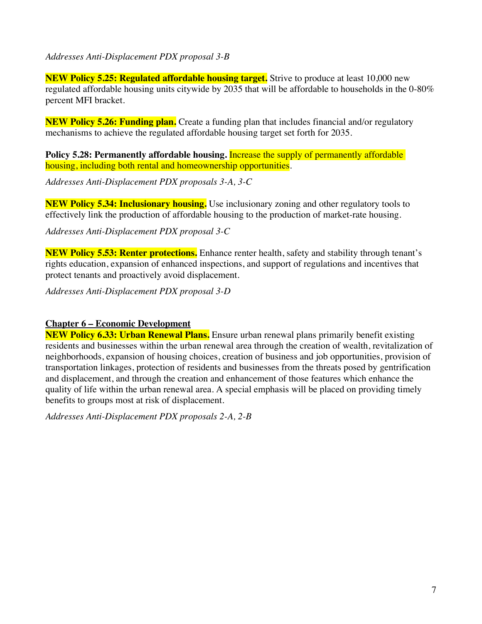## *Addresses Anti-Displacement PDX proposal 3-B*

**NEW Policy 5.25: Regulated affordable housing target.** Strive to produce at least 10,000 new regulated affordable housing units citywide by 2035 that will be affordable to households in the 0-80% percent MFI bracket.

**NEW Policy 5.26: Funding plan.** Create a funding plan that includes financial and/or regulatory mechanisms to achieve the regulated affordable housing target set forth for 2035.

**Policy 5.28: Permanently affordable housing. Increase the supply of permanently affordable** housing, including both rental and homeownership opportunities.

*Addresses Anti-Displacement PDX proposals 3-A, 3-C*

**NEW Policy 5.34: Inclusionary housing.** Use inclusionary zoning and other regulatory tools to effectively link the production of affordable housing to the production of market-rate housing.

*Addresses Anti-Displacement PDX proposal 3-C*

**NEW Policy 5.53: Renter protections.** Enhance renter health, safety and stability through tenant's rights education, expansion of enhanced inspections, and support of regulations and incentives that protect tenants and proactively avoid displacement.

*Addresses Anti-Displacement PDX proposal 3-D*

## **Chapter 6 – Economic Development**

**NEW Policy 6.33: Urban Renewal Plans.** Ensure urban renewal plans primarily benefit existing residents and businesses within the urban renewal area through the creation of wealth, revitalization of neighborhoods, expansion of housing choices, creation of business and job opportunities, provision of transportation linkages, protection of residents and businesses from the threats posed by gentrification and displacement, and through the creation and enhancement of those features which enhance the quality of life within the urban renewal area. A special emphasis will be placed on providing timely benefits to groups most at risk of displacement.

*Addresses Anti-Displacement PDX proposals 2-A, 2-B*